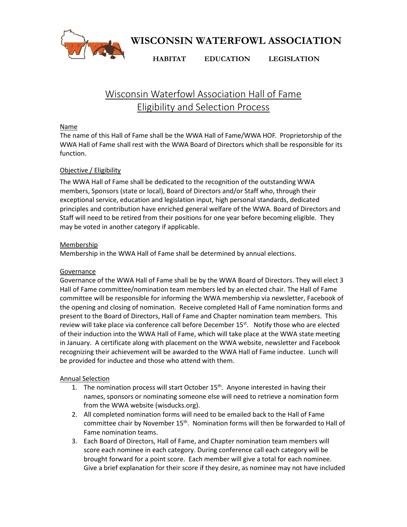

**WISCONSIN WATERFOWL ASSOCIATION**

**HABITAT EDUCATION LEGISLATION**

# Wisconsin Waterfowl Association Hall of Fame Eligibility and Selection Process

## Name

The name of this Hall of Fame shall be the WWA Hall of Fame/WWA HOF. Proprietorship of the WWA Hall of Fame shall rest with the WWA Board of Directors which shall be responsible for its function.

## Objective / Eligibility

The WWA Hall of Fame shall be dedicated to the recognition of the outstanding WWA members, Sponsors (state or local), Board of Directors and/or Staff who, through their exceptional service, education and legislation input, high personal standards, dedicated principles and contribution have enriched general welfare of the WWA. Board of Directors and Staff will need to be retired from their positions for one year before becoming eligible. They may be voted in another category if applicable.

### **Membership**

Membership in the WWA Hall of Fame shall be determined by annual elections.

### Governance

Governance of the WWA Hall of Fame shall be by the WWA Board of Directors. They will elect 3 Hall of Fame committee/nomination team members led by an elected chair. The Hall of Fame committee will be responsible for informing the WWA membership via newsletter, Facebook of the opening and closing of nomination. Receive completed Hall of Fame nomination forms and present to the Board of Directors, Hall of Fame and Chapter nomination team members. This review will take place via conference call before December  $15^{st}$ . Notify those who are elected of their induction into the WWA Hall of Fame, which will take place at the WWA state meeting in January. A certificate along with placement on the WWA website, newsletter and Facebook recognizing their achievement will be awarded to the WWA Hall of Fame inductee. Lunch will be provided for inductee and those who attend with them.

### Annual Selection

- 1. The nomination process will start October 15<sup>th</sup>. Anyone interested in having their names, sponsors or nominating someone else will need to retrieve a nomination form from the WWA website (wisducks.org).
- 2. All completed nomination forms will need to be emailed back to the Hall of Fame committee chair by November 15<sup>th</sup>. Nomination forms will then be forwarded to Hall of Fame nomination teams.
- 3. Each Board of Directors, Hall of Fame, and Chapter nomination team members will score each nominee in each category. During conference call each category will be brought forward for a point score. Each member will give a total for each nominee. Give a brief explanation for their score if they desire, as nominee may not have included